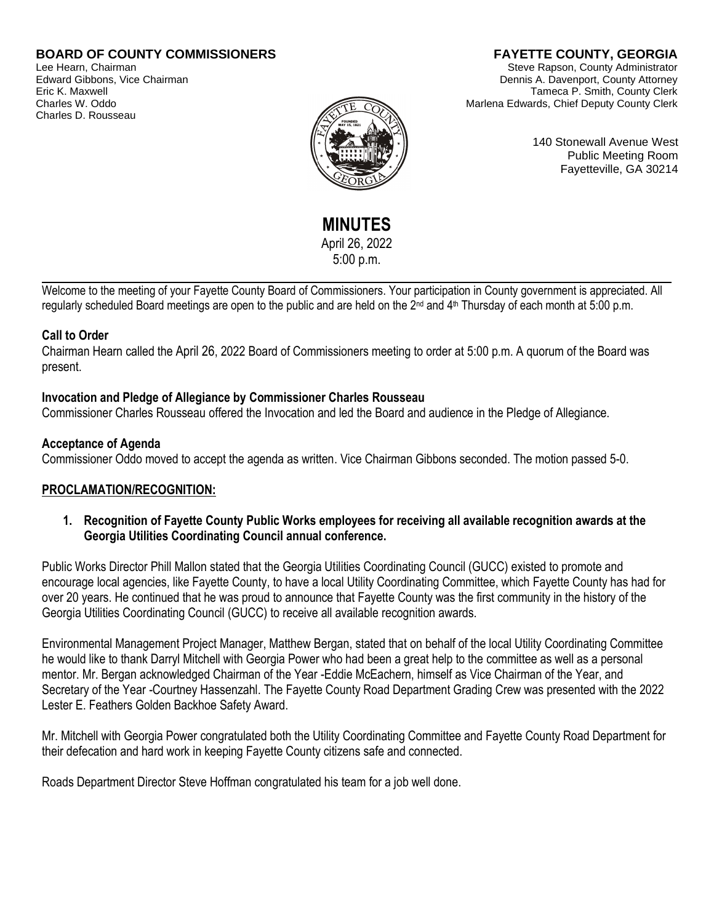## **BOARD OF COUNTY COMMISSIONERS**

Lee Hearn, Chairman Edward Gibbons, Vice Chairman Eric K. Maxwell Charles W. Oddo Charles D. Rousseau

# **FAYETTE COUNTY, GEORGIA**

Steve Rapson, County Administrator Dennis A. Davenport, County Attorney Tameca P. Smith, County Clerk Marlena Edwards, Chief Deputy County Clerk



140 Stonewall Avenue West Public Meeting Room Fayetteville, GA 30214

**MINUTES**  April 26, 2022 5:00 p.m.

Welcome to the meeting of your Fayette County Board of Commissioners. Your participation in County government is appreciated. All regularly scheduled Board meetings are open to the public and are held on the 2<sup>nd</sup> and 4<sup>th</sup> Thursday of each month at 5:00 p.m.

### **Call to Order**

Chairman Hearn called the April 26, 2022 Board of Commissioners meeting to order at 5:00 p.m. A quorum of the Board was present.

## **Invocation and Pledge of Allegiance by Commissioner Charles Rousseau**

Commissioner Charles Rousseau offered the Invocation and led the Board and audience in the Pledge of Allegiance.

### **Acceptance of Agenda**

Commissioner Oddo moved to accept the agenda as written. Vice Chairman Gibbons seconded. The motion passed 5-0.

## **PROCLAMATION/RECOGNITION:**

**1. Recognition of Fayette County Public Works employees for receiving all available recognition awards at the Georgia Utilities Coordinating Council annual conference.** 

Public Works Director Phill Mallon stated that the Georgia Utilities Coordinating Council (GUCC) existed to promote and encourage local agencies, like Fayette County, to have a local Utility Coordinating Committee, which Fayette County has had for over 20 years. He continued that he was proud to announce that Fayette County was the first community in the history of the Georgia Utilities Coordinating Council (GUCC) to receive all available recognition awards.

Environmental Management Project Manager, Matthew Bergan, stated that on behalf of the local Utility Coordinating Committee he would like to thank Darryl Mitchell with Georgia Power who had been a great help to the committee as well as a personal mentor. Mr. Bergan acknowledged Chairman of the Year -Eddie McEachern, himself as Vice Chairman of the Year, and Secretary of the Year -Courtney Hassenzahl. The Fayette County Road Department Grading Crew was presented with the 2022 Lester E. Feathers Golden Backhoe Safety Award.

Mr. Mitchell with Georgia Power congratulated both the Utility Coordinating Committee and Fayette County Road Department for their defecation and hard work in keeping Fayette County citizens safe and connected.

Roads Department Director Steve Hoffman congratulated his team for a job well done.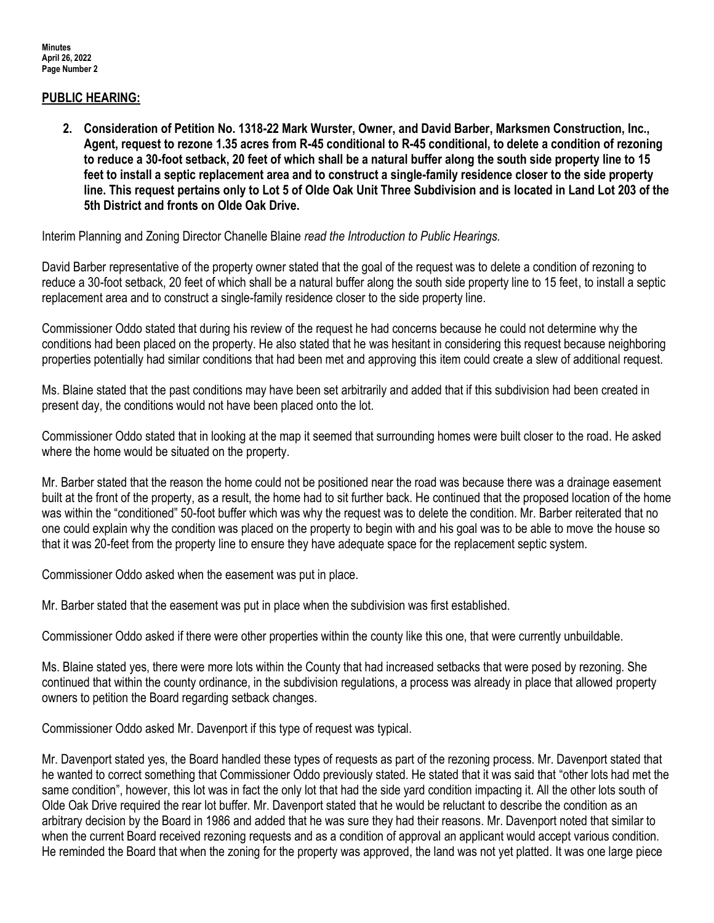### **PUBLIC HEARING:**

**2. Consideration of Petition No. 1318-22 Mark Wurster, Owner, and David Barber, Marksmen Construction, Inc., Agent, request to rezone 1.35 acres from R-45 conditional to R-45 conditional, to delete a condition of rezoning to reduce a 30-foot setback, 20 feet of which shall be a natural buffer along the south side property line to 15 feet to install a septic replacement area and to construct a single-family residence closer to the side property line. This request pertains only to Lot 5 of Olde Oak Unit Three Subdivision and is located in Land Lot 203 of the 5th District and fronts on Olde Oak Drive.**

Interim Planning and Zoning Director Chanelle Blaine *read the Introduction to Public Hearings.*

David Barber representative of the property owner stated that the goal of the request was to delete a condition of rezoning to reduce a 30-foot setback, 20 feet of which shall be a natural buffer along the south side property line to 15 feet, to install a septic replacement area and to construct a single-family residence closer to the side property line.

Commissioner Oddo stated that during his review of the request he had concerns because he could not determine why the conditions had been placed on the property. He also stated that he was hesitant in considering this request because neighboring properties potentially had similar conditions that had been met and approving this item could create a slew of additional request.

Ms. Blaine stated that the past conditions may have been set arbitrarily and added that if this subdivision had been created in present day, the conditions would not have been placed onto the lot.

Commissioner Oddo stated that in looking at the map it seemed that surrounding homes were built closer to the road. He asked where the home would be situated on the property.

Mr. Barber stated that the reason the home could not be positioned near the road was because there was a drainage easement built at the front of the property, as a result, the home had to sit further back. He continued that the proposed location of the home was within the "conditioned" 50-foot buffer which was why the request was to delete the condition. Mr. Barber reiterated that no one could explain why the condition was placed on the property to begin with and his goal was to be able to move the house so that it was 20-feet from the property line to ensure they have adequate space for the replacement septic system.

Commissioner Oddo asked when the easement was put in place.

Mr. Barber stated that the easement was put in place when the subdivision was first established.

Commissioner Oddo asked if there were other properties within the county like this one, that were currently unbuildable.

Ms. Blaine stated yes, there were more lots within the County that had increased setbacks that were posed by rezoning. She continued that within the county ordinance, in the subdivision regulations, a process was already in place that allowed property owners to petition the Board regarding setback changes.

Commissioner Oddo asked Mr. Davenport if this type of request was typical.

Mr. Davenport stated yes, the Board handled these types of requests as part of the rezoning process. Mr. Davenport stated that he wanted to correct something that Commissioner Oddo previously stated. He stated that it was said that "other lots had met the same condition", however, this lot was in fact the only lot that had the side yard condition impacting it. All the other lots south of Olde Oak Drive required the rear lot buffer. Mr. Davenport stated that he would be reluctant to describe the condition as an arbitrary decision by the Board in 1986 and added that he was sure they had their reasons. Mr. Davenport noted that similar to when the current Board received rezoning requests and as a condition of approval an applicant would accept various condition. He reminded the Board that when the zoning for the property was approved, the land was not yet platted. It was one large piece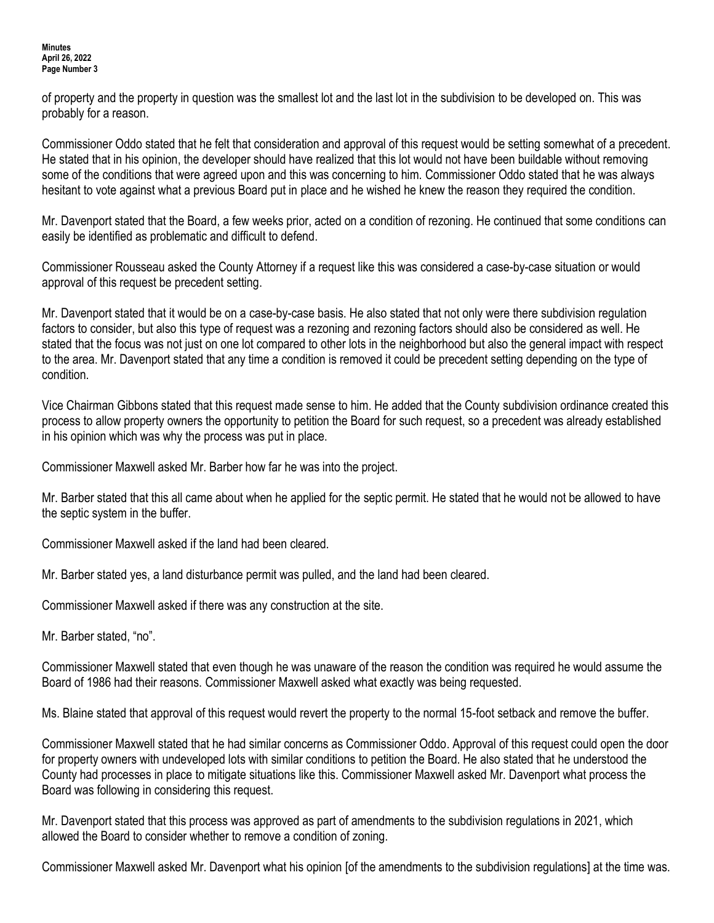#### **Minutes April 26, 2022 Page Number 3**

of property and the property in question was the smallest lot and the last lot in the subdivision to be developed on. This was probably for a reason.

Commissioner Oddo stated that he felt that consideration and approval of this request would be setting somewhat of a precedent. He stated that in his opinion, the developer should have realized that this lot would not have been buildable without removing some of the conditions that were agreed upon and this was concerning to him. Commissioner Oddo stated that he was always hesitant to vote against what a previous Board put in place and he wished he knew the reason they required the condition.

Mr. Davenport stated that the Board, a few weeks prior, acted on a condition of rezoning. He continued that some conditions can easily be identified as problematic and difficult to defend.

Commissioner Rousseau asked the County Attorney if a request like this was considered a case-by-case situation or would approval of this request be precedent setting.

Mr. Davenport stated that it would be on a case-by-case basis. He also stated that not only were there subdivision regulation factors to consider, but also this type of request was a rezoning and rezoning factors should also be considered as well. He stated that the focus was not just on one lot compared to other lots in the neighborhood but also the general impact with respect to the area. Mr. Davenport stated that any time a condition is removed it could be precedent setting depending on the type of condition.

Vice Chairman Gibbons stated that this request made sense to him. He added that the County subdivision ordinance created this process to allow property owners the opportunity to petition the Board for such request, so a precedent was already established in his opinion which was why the process was put in place.

Commissioner Maxwell asked Mr. Barber how far he was into the project.

Mr. Barber stated that this all came about when he applied for the septic permit. He stated that he would not be allowed to have the septic system in the buffer.

Commissioner Maxwell asked if the land had been cleared.

Mr. Barber stated yes, a land disturbance permit was pulled, and the land had been cleared.

Commissioner Maxwell asked if there was any construction at the site.

Mr. Barber stated, "no".

Commissioner Maxwell stated that even though he was unaware of the reason the condition was required he would assume the Board of 1986 had their reasons. Commissioner Maxwell asked what exactly was being requested.

Ms. Blaine stated that approval of this request would revert the property to the normal 15-foot setback and remove the buffer.

Commissioner Maxwell stated that he had similar concerns as Commissioner Oddo. Approval of this request could open the door for property owners with undeveloped lots with similar conditions to petition the Board. He also stated that he understood the County had processes in place to mitigate situations like this. Commissioner Maxwell asked Mr. Davenport what process the Board was following in considering this request.

Mr. Davenport stated that this process was approved as part of amendments to the subdivision regulations in 2021, which allowed the Board to consider whether to remove a condition of zoning.

Commissioner Maxwell asked Mr. Davenport what his opinion [of the amendments to the subdivision regulations] at the time was.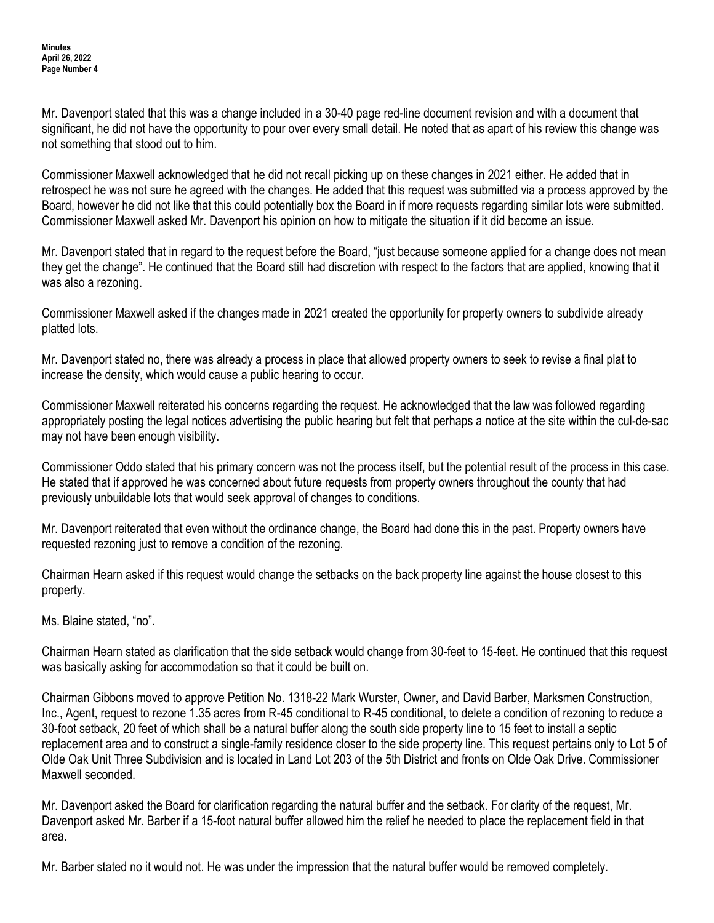Mr. Davenport stated that this was a change included in a 30-40 page red-line document revision and with a document that significant, he did not have the opportunity to pour over every small detail. He noted that as apart of his review this change was not something that stood out to him.

Commissioner Maxwell acknowledged that he did not recall picking up on these changes in 2021 either. He added that in retrospect he was not sure he agreed with the changes. He added that this request was submitted via a process approved by the Board, however he did not like that this could potentially box the Board in if more requests regarding similar lots were submitted. Commissioner Maxwell asked Mr. Davenport his opinion on how to mitigate the situation if it did become an issue.

Mr. Davenport stated that in regard to the request before the Board, "just because someone applied for a change does not mean they get the change". He continued that the Board still had discretion with respect to the factors that are applied, knowing that it was also a rezoning.

Commissioner Maxwell asked if the changes made in 2021 created the opportunity for property owners to subdivide already platted lots.

Mr. Davenport stated no, there was already a process in place that allowed property owners to seek to revise a final plat to increase the density, which would cause a public hearing to occur.

Commissioner Maxwell reiterated his concerns regarding the request. He acknowledged that the law was followed regarding appropriately posting the legal notices advertising the public hearing but felt that perhaps a notice at the site within the cul-de-sac may not have been enough visibility.

Commissioner Oddo stated that his primary concern was not the process itself, but the potential result of the process in this case. He stated that if approved he was concerned about future requests from property owners throughout the county that had previously unbuildable lots that would seek approval of changes to conditions.

Mr. Davenport reiterated that even without the ordinance change, the Board had done this in the past. Property owners have requested rezoning just to remove a condition of the rezoning.

Chairman Hearn asked if this request would change the setbacks on the back property line against the house closest to this property.

Ms. Blaine stated, "no".

Chairman Hearn stated as clarification that the side setback would change from 30-feet to 15-feet. He continued that this request was basically asking for accommodation so that it could be built on.

Chairman Gibbons moved to approve Petition No. 1318-22 Mark Wurster, Owner, and David Barber, Marksmen Construction, Inc., Agent, request to rezone 1.35 acres from R-45 conditional to R-45 conditional, to delete a condition of rezoning to reduce a 30-foot setback, 20 feet of which shall be a natural buffer along the south side property line to 15 feet to install a septic replacement area and to construct a single-family residence closer to the side property line. This request pertains only to Lot 5 of Olde Oak Unit Three Subdivision and is located in Land Lot 203 of the 5th District and fronts on Olde Oak Drive. Commissioner Maxwell seconded.

Mr. Davenport asked the Board for clarification regarding the natural buffer and the setback. For clarity of the request, Mr. Davenport asked Mr. Barber if a 15-foot natural buffer allowed him the relief he needed to place the replacement field in that area.

Mr. Barber stated no it would not. He was under the impression that the natural buffer would be removed completely.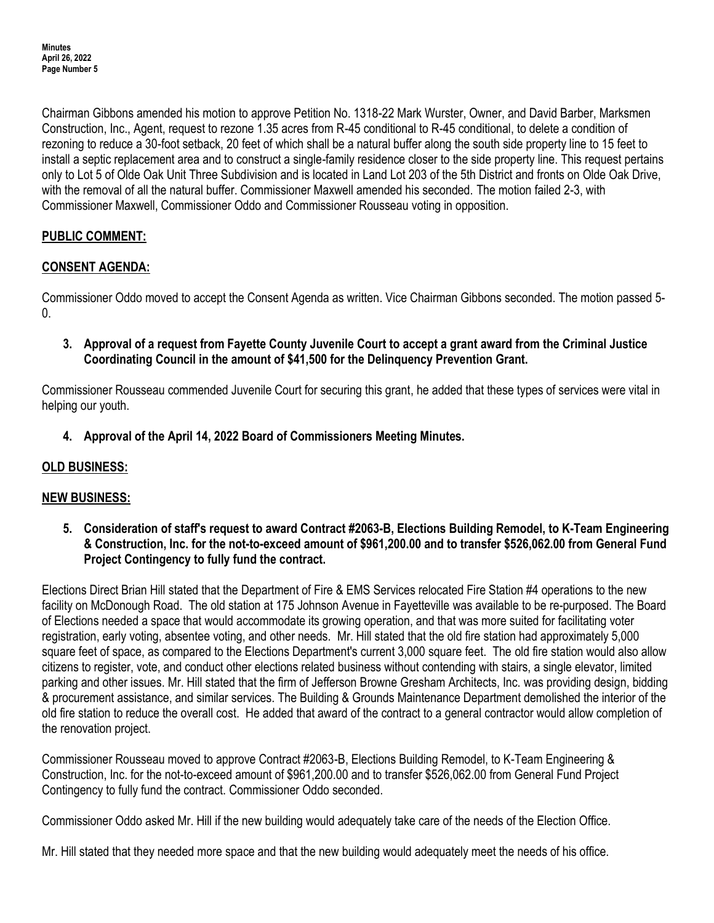Chairman Gibbons amended his motion to approve Petition No. 1318-22 Mark Wurster, Owner, and David Barber, Marksmen Construction, Inc., Agent, request to rezone 1.35 acres from R-45 conditional to R-45 conditional, to delete a condition of rezoning to reduce a 30-foot setback, 20 feet of which shall be a natural buffer along the south side property line to 15 feet to install a septic replacement area and to construct a single-family residence closer to the side property line. This request pertains only to Lot 5 of Olde Oak Unit Three Subdivision and is located in Land Lot 203 of the 5th District and fronts on Olde Oak Drive, with the removal of all the natural buffer. Commissioner Maxwell amended his seconded. The motion failed 2-3, with Commissioner Maxwell, Commissioner Oddo and Commissioner Rousseau voting in opposition.

# **PUBLIC COMMENT:**

## **CONSENT AGENDA:**

Commissioner Oddo moved to accept the Consent Agenda as written. Vice Chairman Gibbons seconded. The motion passed 5-  $\Omega$ 

**3. Approval of a request from Fayette County Juvenile Court to accept a grant award from the Criminal Justice Coordinating Council in the amount of \$41,500 for the Delinquency Prevention Grant.**

Commissioner Rousseau commended Juvenile Court for securing this grant, he added that these types of services were vital in helping our youth.

**4. Approval of the April 14, 2022 Board of Commissioners Meeting Minutes.**

# **OLD BUSINESS:**

## **NEW BUSINESS:**

**5. Consideration of staff's request to award Contract #2063-B, Elections Building Remodel, to K-Team Engineering & Construction, Inc. for the not-to-exceed amount of \$961,200.00 and to transfer \$526,062.00 from General Fund Project Contingency to fully fund the contract.**

Elections Direct Brian Hill stated that the Department of Fire & EMS Services relocated Fire Station #4 operations to the new facility on McDonough Road. The old station at 175 Johnson Avenue in Fayetteville was available to be re-purposed. The Board of Elections needed a space that would accommodate its growing operation, and that was more suited for facilitating voter registration, early voting, absentee voting, and other needs. Mr. Hill stated that the old fire station had approximately 5,000 square feet of space, as compared to the Elections Department's current 3,000 square feet. The old fire station would also allow citizens to register, vote, and conduct other elections related business without contending with stairs, a single elevator, limited parking and other issues. Mr. Hill stated that the firm of Jefferson Browne Gresham Architects, Inc. was providing design, bidding & procurement assistance, and similar services. The Building & Grounds Maintenance Department demolished the interior of the old fire station to reduce the overall cost. He added that award of the contract to a general contractor would allow completion of the renovation project.

Commissioner Rousseau moved to approve Contract #2063-B, Elections Building Remodel, to K-Team Engineering & Construction, Inc. for the not-to-exceed amount of \$961,200.00 and to transfer \$526,062.00 from General Fund Project Contingency to fully fund the contract. Commissioner Oddo seconded.

Commissioner Oddo asked Mr. Hill if the new building would adequately take care of the needs of the Election Office.

Mr. Hill stated that they needed more space and that the new building would adequately meet the needs of his office.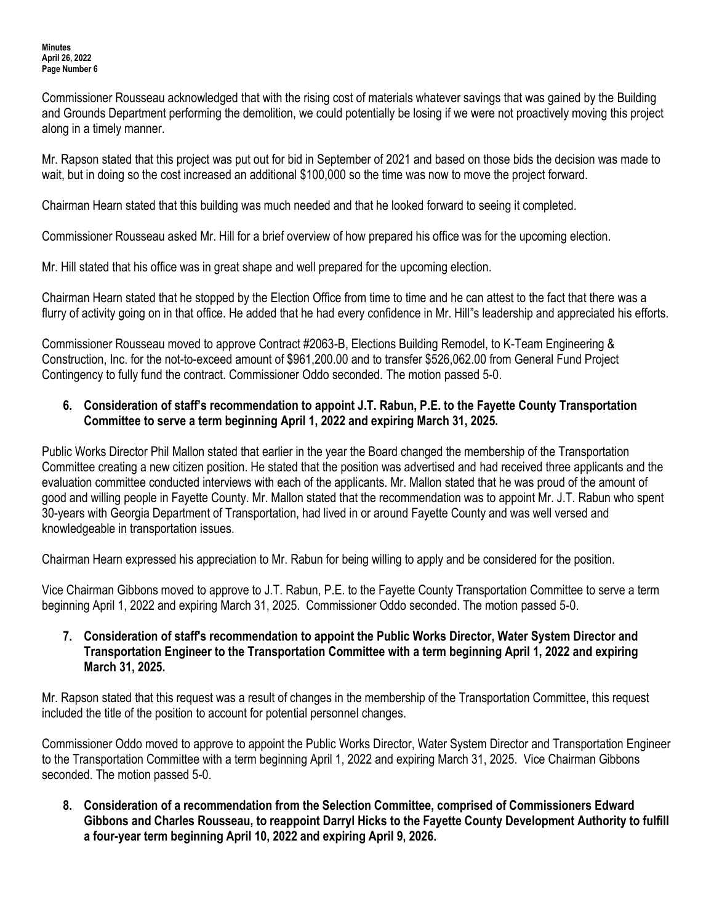Commissioner Rousseau acknowledged that with the rising cost of materials whatever savings that was gained by the Building and Grounds Department performing the demolition, we could potentially be losing if we were not proactively moving this project along in a timely manner.

Mr. Rapson stated that this project was put out for bid in September of 2021 and based on those bids the decision was made to wait, but in doing so the cost increased an additional \$100,000 so the time was now to move the project forward.

Chairman Hearn stated that this building was much needed and that he looked forward to seeing it completed.

Commissioner Rousseau asked Mr. Hill for a brief overview of how prepared his office was for the upcoming election.

Mr. Hill stated that his office was in great shape and well prepared for the upcoming election.

Chairman Hearn stated that he stopped by the Election Office from time to time and he can attest to the fact that there was a flurry of activity going on in that office. He added that he had every confidence in Mr. Hill"s leadership and appreciated his efforts.

Commissioner Rousseau moved to approve Contract #2063-B, Elections Building Remodel, to K-Team Engineering & Construction, Inc. for the not-to-exceed amount of \$961,200.00 and to transfer \$526,062.00 from General Fund Project Contingency to fully fund the contract. Commissioner Oddo seconded. The motion passed 5-0.

## **6. Consideration of staff's recommendation to appoint J.T. Rabun, P.E. to the Fayette County Transportation Committee to serve a term beginning April 1, 2022 and expiring March 31, 2025.**

Public Works Director Phil Mallon stated that earlier in the year the Board changed the membership of the Transportation Committee creating a new citizen position. He stated that the position was advertised and had received three applicants and the evaluation committee conducted interviews with each of the applicants. Mr. Mallon stated that he was proud of the amount of good and willing people in Fayette County. Mr. Mallon stated that the recommendation was to appoint Mr. J.T. Rabun who spent 30-years with Georgia Department of Transportation, had lived in or around Fayette County and was well versed and knowledgeable in transportation issues.

Chairman Hearn expressed his appreciation to Mr. Rabun for being willing to apply and be considered for the position.

Vice Chairman Gibbons moved to approve to J.T. Rabun, P.E. to the Fayette County Transportation Committee to serve a term beginning April 1, 2022 and expiring March 31, 2025. Commissioner Oddo seconded. The motion passed 5-0.

## **7. Consideration of staff's recommendation to appoint the Public Works Director, Water System Director and Transportation Engineer to the Transportation Committee with a term beginning April 1, 2022 and expiring March 31, 2025.**

Mr. Rapson stated that this request was a result of changes in the membership of the Transportation Committee, this request included the title of the position to account for potential personnel changes.

Commissioner Oddo moved to approve to appoint the Public Works Director, Water System Director and Transportation Engineer to the Transportation Committee with a term beginning April 1, 2022 and expiring March 31, 2025. Vice Chairman Gibbons seconded. The motion passed 5-0.

**8. Consideration of a recommendation from the Selection Committee, comprised of Commissioners Edward Gibbons and Charles Rousseau, to reappoint Darryl Hicks to the Fayette County Development Authority to fulfill a four-year term beginning April 10, 2022 and expiring April 9, 2026.**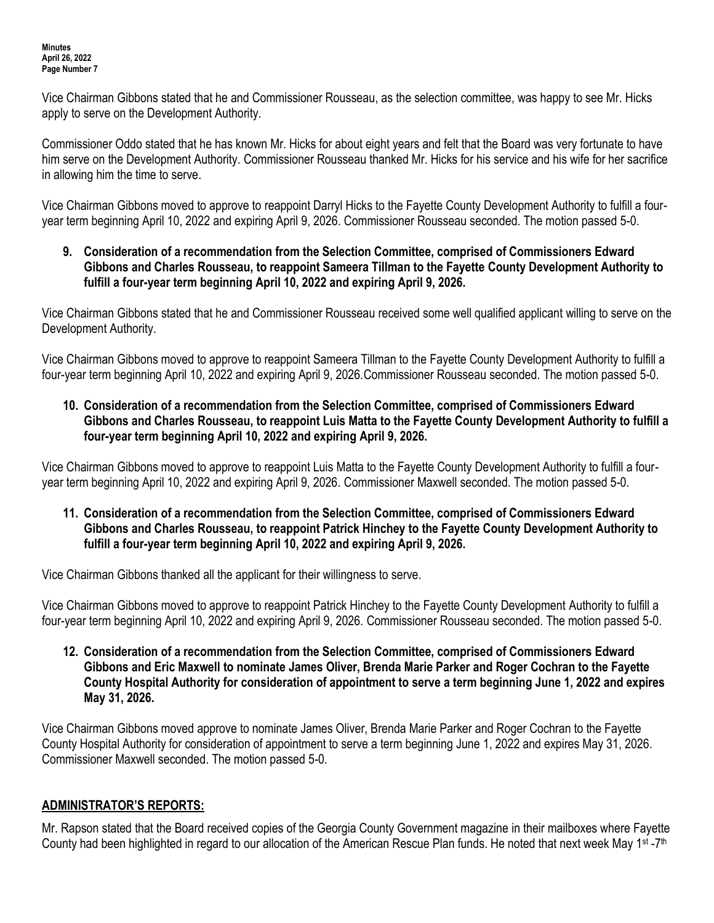Vice Chairman Gibbons stated that he and Commissioner Rousseau, as the selection committee, was happy to see Mr. Hicks apply to serve on the Development Authority.

Commissioner Oddo stated that he has known Mr. Hicks for about eight years and felt that the Board was very fortunate to have him serve on the Development Authority. Commissioner Rousseau thanked Mr. Hicks for his service and his wife for her sacrifice in allowing him the time to serve.

Vice Chairman Gibbons moved to approve to reappoint Darryl Hicks to the Fayette County Development Authority to fulfill a fouryear term beginning April 10, 2022 and expiring April 9, 2026. Commissioner Rousseau seconded. The motion passed 5-0.

**9. Consideration of a recommendation from the Selection Committee, comprised of Commissioners Edward Gibbons and Charles Rousseau, to reappoint Sameera Tillman to the Fayette County Development Authority to fulfill a four-year term beginning April 10, 2022 and expiring April 9, 2026.**

Vice Chairman Gibbons stated that he and Commissioner Rousseau received some well qualified applicant willing to serve on the Development Authority.

Vice Chairman Gibbons moved to approve to reappoint Sameera Tillman to the Fayette County Development Authority to fulfill a four-year term beginning April 10, 2022 and expiring April 9, 2026.Commissioner Rousseau seconded. The motion passed 5-0.

**10. Consideration of a recommendation from the Selection Committee, comprised of Commissioners Edward Gibbons and Charles Rousseau, to reappoint Luis Matta to the Fayette County Development Authority to fulfill a four-year term beginning April 10, 2022 and expiring April 9, 2026.**

Vice Chairman Gibbons moved to approve to reappoint Luis Matta to the Fayette County Development Authority to fulfill a fouryear term beginning April 10, 2022 and expiring April 9, 2026. Commissioner Maxwell seconded. The motion passed 5-0.

**11. Consideration of a recommendation from the Selection Committee, comprised of Commissioners Edward Gibbons and Charles Rousseau, to reappoint Patrick Hinchey to the Fayette County Development Authority to fulfill a four-year term beginning April 10, 2022 and expiring April 9, 2026.**

Vice Chairman Gibbons thanked all the applicant for their willingness to serve.

Vice Chairman Gibbons moved to approve to reappoint Patrick Hinchey to the Fayette County Development Authority to fulfill a four-year term beginning April 10, 2022 and expiring April 9, 2026. Commissioner Rousseau seconded. The motion passed 5-0.

**12. Consideration of a recommendation from the Selection Committee, comprised of Commissioners Edward Gibbons and Eric Maxwell to nominate James Oliver, Brenda Marie Parker and Roger Cochran to the Fayette County Hospital Authority for consideration of appointment to serve a term beginning June 1, 2022 and expires May 31, 2026.**

Vice Chairman Gibbons moved approve to nominate James Oliver, Brenda Marie Parker and Roger Cochran to the Fayette County Hospital Authority for consideration of appointment to serve a term beginning June 1, 2022 and expires May 31, 2026. Commissioner Maxwell seconded. The motion passed 5-0.

## **ADMINISTRATOR'S REPORTS:**

Mr. Rapson stated that the Board received copies of the Georgia County Government magazine in their mailboxes where Fayette County had been highlighted in regard to our allocation of the American Rescue Plan funds. He noted that next week May 1<sup>st</sup> -7<sup>th</sup>